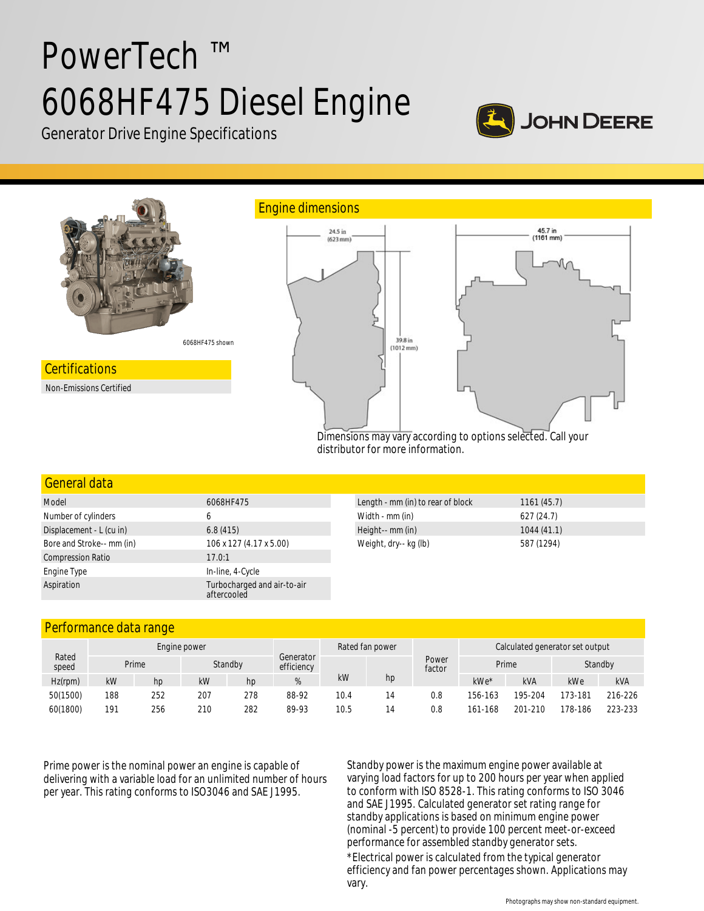# PowerTech ™ 6068HF475 Diesel Engine



Generator Drive Engine Specifications



#### General data

| Model                     | 6068HF475                                  |  |  |  |  |
|---------------------------|--------------------------------------------|--|--|--|--|
| Number of cylinders       | 6                                          |  |  |  |  |
| Displacement - L (cu in)  | 6.8(415)                                   |  |  |  |  |
| Bore and Stroke-- mm (in) | 106 x 127 (4.17 x 5.00)                    |  |  |  |  |
| <b>Compression Ratio</b>  | 17.0:1                                     |  |  |  |  |
| Engine Type               | In-line, 4-Cycle                           |  |  |  |  |
| Aspiration                | Turbocharged and air-to-air<br>aftercooled |  |  |  |  |

| Length - mm (in) to rear of block | 1161(45.7) |
|-----------------------------------|------------|
| Width - mm (in)                   | 627(24.7)  |
| Height-- mm (in)                  | 1044(41.1) |
| Weight, dry-- kg (lb)             | 587 (1294) |

# Performance data range

| Rated<br>speed | Engine power |     |     |         |       |                         | Rated fan power |                 | Calculated generator set output |            |         |            |
|----------------|--------------|-----|-----|---------|-------|-------------------------|-----------------|-----------------|---------------------------------|------------|---------|------------|
|                | Prime        |     |     | Standby |       | Generator<br>efficiency |                 | Power<br>factor | Prime<br>Standby                |            |         |            |
| $Hz$ (rpm)     | kW           | hp  | kW  | hp      | %     | kW                      | hp              |                 | kWe*                            | <b>kVA</b> | kWe     | <b>kVA</b> |
| 50(1500)       | 188          | 252 | 207 | 278     | 88-92 | 10.4                    |                 | 0.8             | 156-163                         | 195-204    | 173-181 | 216-226    |
| 60(1800)       | 191          | 256 | 210 | 282     | 89-93 | 10.5                    | 14              | 0.8             | 161-168                         | 201-210    | 178-186 | 223-233    |

Prime power is the nominal power an engine is capable of delivering with a variable load for an unlimited number of hours per year. This rating conforms to ISO3046 and SAE J1995.

Standby power is the maximum engine power available at varying load factors for up to 200 hours per year when applied to conform with ISO 8528-1. This rating conforms to ISO 3046 and SAE J1995. Calculated generator set rating range for standby applications is based on minimum engine power (nominal -5 percent) to provide 100 percent meet-or-exceed performance for assembled standby generator sets. \*Electrical power is calculated from the typical generator efficiency and fan power percentages shown. Applications may vary.